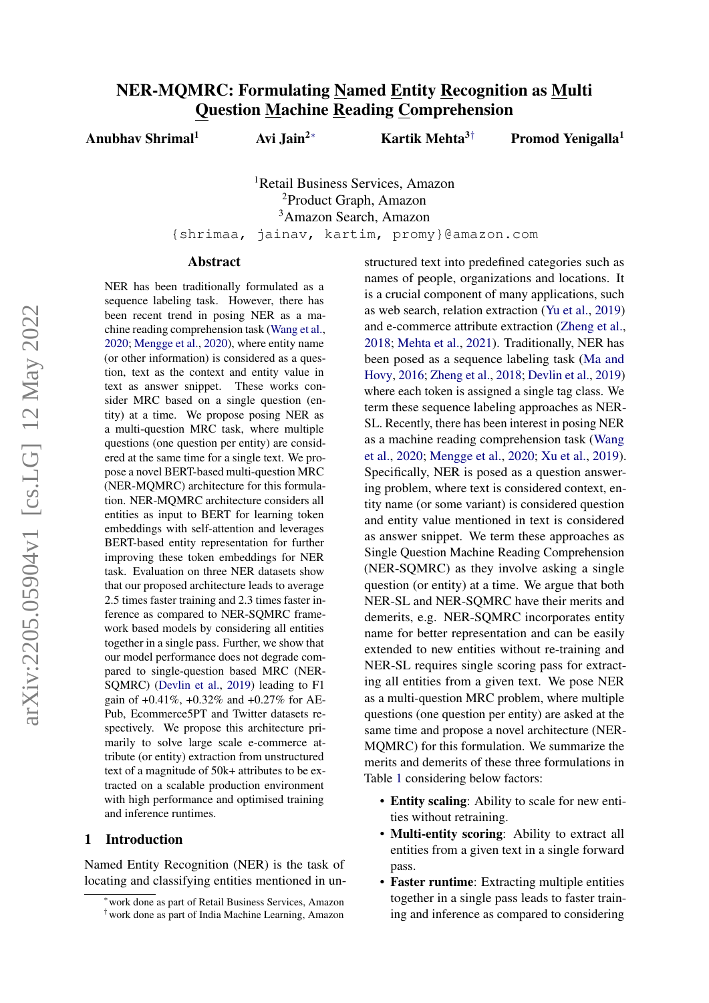# NER-MQMRC: Formulating Named Entity Recognition as Multi Question Machine Reading Comprehension

Anubhav Shrimal<sup>1</sup> Avi Jain<sup>2∗</sup> Kartik Mehta<sup>3†</sup> Promod Yenigalla<sup>1</sup>

<sup>1</sup>Retail Business Services, Amazon <sup>2</sup>Product Graph, Amazon <sup>3</sup>Amazon Search, Amazon

{shrimaa, jainav, kartim, promy}@amazon.com

#### Abstract

NER has been traditionally formulated as a sequence labeling task. However, there has been recent trend in posing NER as a machine reading comprehension task [\(Wang et al.,](#page-6-0) [2020;](#page-6-0) [Mengge et al.,](#page-6-1) [2020\)](#page-6-1), where entity name (or other information) is considered as a question, text as the context and entity value in text as answer snippet. These works consider MRC based on a single question (entity) at a time. We propose posing NER as a multi-question MRC task, where multiple questions (one question per entity) are considered at the same time for a single text. We propose a novel BERT-based multi-question MRC (NER-MQMRC) architecture for this formulation. NER-MQMRC architecture considers all entities as input to BERT for learning token embeddings with self-attention and leverages BERT-based entity representation for further improving these token embeddings for NER task. Evaluation on three NER datasets show that our proposed architecture leads to average 2.5 times faster training and 2.3 times faster inference as compared to NER-SQMRC framework based models by considering all entities together in a single pass. Further, we show that our model performance does not degrade compared to single-question based MRC (NER-SQMRC) [\(Devlin et al.,](#page-6-2) [2019\)](#page-6-2) leading to F1 gain of +0.41%, +0.32% and +0.27% for AE-Pub, Ecommerce5PT and Twitter datasets respectively. We propose this architecture primarily to solve large scale e-commerce attribute (or entity) extraction from unstructured text of a magnitude of 50k+ attributes to be extracted on a scalable production environment with high performance and optimised training and inference runtimes.

### 1 Introduction

Named Entity Recognition (NER) is the task of locating and classifying entities mentioned in unstructured text into predefined categories such as names of people, organizations and locations. It is a crucial component of many applications, such as web search, relation extraction [\(Yu et al.,](#page-6-3) [2019\)](#page-6-3) and e-commerce attribute extraction [\(Zheng et al.,](#page-6-4) [2018;](#page-6-4) [Mehta et al.,](#page-6-5) [2021\)](#page-6-5). Traditionally, NER has been posed as a sequence labeling task [\(Ma and](#page-6-6) [Hovy,](#page-6-6) [2016;](#page-6-6) [Zheng et al.,](#page-6-4) [2018;](#page-6-4) [Devlin et al.,](#page-6-2) [2019\)](#page-6-2) where each token is assigned a single tag class. We term these sequence labeling approaches as NER-SL. Recently, there has been interest in posing NER as a machine reading comprehension task [\(Wang](#page-6-0) [et al.,](#page-6-0) [2020;](#page-6-0) [Mengge et al.,](#page-6-1) [2020;](#page-6-1) [Xu et al.,](#page-6-7) [2019\)](#page-6-7). Specifically, NER is posed as a question answering problem, where text is considered context, entity name (or some variant) is considered question and entity value mentioned in text is considered as answer snippet. We term these approaches as Single Question Machine Reading Comprehension (NER-SQMRC) as they involve asking a single question (or entity) at a time. We argue that both NER-SL and NER-SQMRC have their merits and demerits, e.g. NER-SQMRC incorporates entity name for better representation and can be easily extended to new entities without re-training and NER-SL requires single scoring pass for extracting all entities from a given text. We pose NER as a multi-question MRC problem, where multiple questions (one question per entity) are asked at the same time and propose a novel architecture (NER-MQMRC) for this formulation. We summarize the merits and demerits of these three formulations in Table [1](#page-1-0) considering below factors:

- Entity scaling: Ability to scale for new entities without retraining.
- Multi-entity scoring: Ability to extract all entities from a given text in a single forward pass.
- Faster runtime: Extracting multiple entities together in a single pass leads to faster training and inference as compared to considering

<sup>∗</sup>work done as part of Retail Business Services, Amazon

<sup>†</sup>work done as part of India Machine Learning, Amazon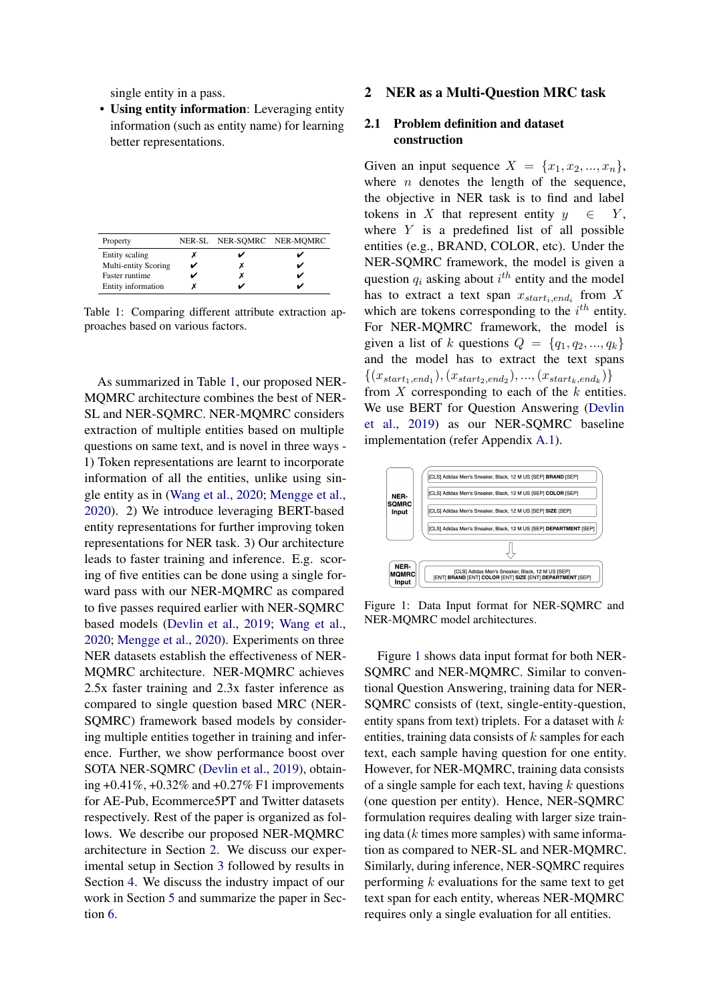single entity in a pass.

• Using entity information: Leveraging entity information (such as entity name) for learning better representations.

<span id="page-1-0"></span>

| Property             | NER-SL NER-SQMRC NER-MQMRC |  |
|----------------------|----------------------------|--|
| Entity scaling       |                            |  |
| Multi-entity Scoring |                            |  |
| Faster runtime       |                            |  |
| Entity information   |                            |  |

Table 1: Comparing different attribute extraction approaches based on various factors.

As summarized in Table [1,](#page-1-0) our proposed NER-MQMRC architecture combines the best of NER-SL and NER-SQMRC. NER-MQMRC considers extraction of multiple entities based on multiple questions on same text, and is novel in three ways - 1) Token representations are learnt to incorporate information of all the entities, unlike using single entity as in [\(Wang et al.,](#page-6-0) [2020;](#page-6-0) [Mengge et al.,](#page-6-1) [2020\)](#page-6-1). 2) We introduce leveraging BERT-based entity representations for further improving token representations for NER task. 3) Our architecture leads to faster training and inference. E.g. scoring of five entities can be done using a single forward pass with our NER-MQMRC as compared to five passes required earlier with NER-SQMRC based models [\(Devlin et al.,](#page-6-2) [2019;](#page-6-2) [Wang et al.,](#page-6-0) [2020;](#page-6-0) [Mengge et al.,](#page-6-1) [2020\)](#page-6-1). Experiments on three NER datasets establish the effectiveness of NER-MQMRC architecture. NER-MQMRC achieves 2.5x faster training and 2.3x faster inference as compared to single question based MRC (NER-SQMRC) framework based models by considering multiple entities together in training and inference. Further, we show performance boost over SOTA NER-SQMRC [\(Devlin et al.,](#page-6-2) [2019\)](#page-6-2), obtaining  $+0.41\%$ ,  $+0.32\%$  and  $+0.27\%$  F1 improvements for AE-Pub, Ecommerce5PT and Twitter datasets respectively. Rest of the paper is organized as follows. We describe our proposed NER-MQMRC architecture in Section [2.](#page-1-1) We discuss our experimental setup in Section [3](#page-3-0) followed by results in Section [4.](#page-4-0) We discuss the industry impact of our work in Section [5](#page-5-0) and summarize the paper in Section [6.](#page-6-8)

#### <span id="page-1-1"></span>2 NER as a Multi-Question MRC task

### <span id="page-1-3"></span>2.1 Problem definition and dataset construction

Given an input sequence  $X = \{x_1, x_2, ..., x_n\},\$ where  $n$  denotes the length of the sequence, the objective in NER task is to find and label tokens in X that represent entity  $y \in Y$ , where  $Y$  is a predefined list of all possible entities (e.g., BRAND, COLOR, etc). Under the NER-SQMRC framework, the model is given a question  $q_i$  asking about  $i^{th}$  entity and the model has to extract a text span  $x_{start_i, end_i}$  from X which are tokens corresponding to the  $i^{th}$  entity. For NER-MQMRC framework, the model is given a list of k questions  $Q = \{q_1, q_2, ..., q_k\}$ and the model has to extract the text spans  $\{(x_{start_1, end_1}), (x_{start_2, end_2}), ..., (x_{start_k, end_k})\}$ from  $X$  corresponding to each of the  $k$  entities. We use BERT for Question Answering [\(Devlin](#page-6-2) [et al.,](#page-6-2) [2019\)](#page-6-2) as our NER-SQMRC baseline implementation (refer Appendix [A.1\)](#page-7-0).

<span id="page-1-2"></span>

Figure 1: Data Input format for NER-SQMRC and NER-MQMRC model architectures.

Figure [1](#page-1-2) shows data input format for both NER-SQMRC and NER-MQMRC. Similar to conventional Question Answering, training data for NER-SQMRC consists of (text, single-entity-question, entity spans from text) triplets. For a dataset with  $k$ entities, training data consists of  $k$  samples for each text, each sample having question for one entity. However, for NER-MQMRC, training data consists of a single sample for each text, having  $k$  questions (one question per entity). Hence, NER-SQMRC formulation requires dealing with larger size training data  $(k$  times more samples) with same information as compared to NER-SL and NER-MQMRC. Similarly, during inference, NER-SQMRC requires performing  $k$  evaluations for the same text to get text span for each entity, whereas NER-MQMRC requires only a single evaluation for all entities.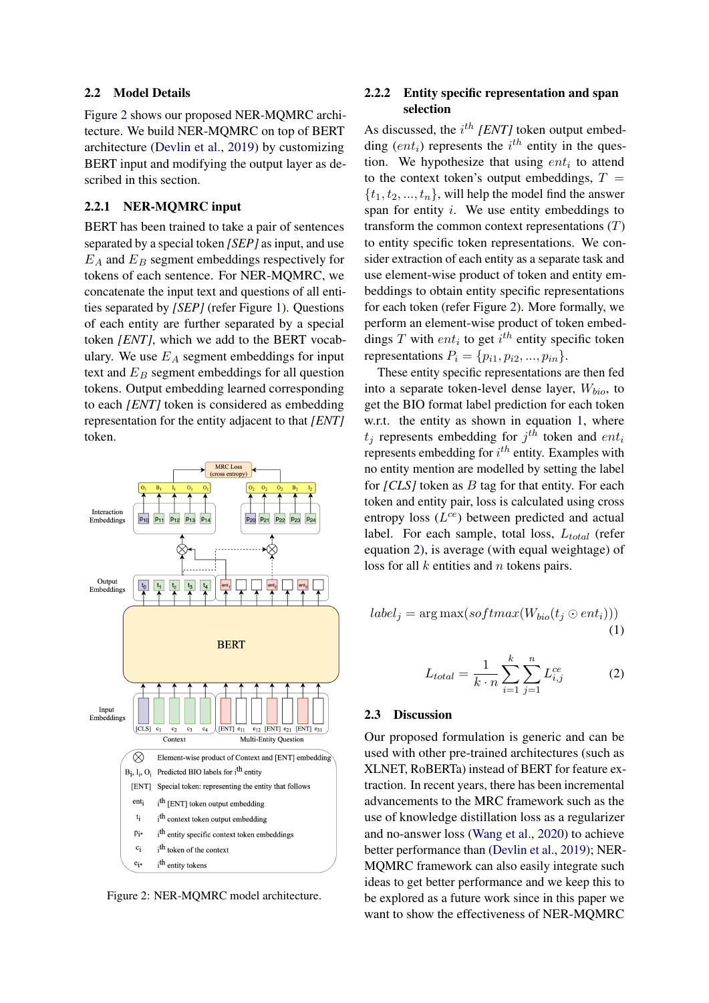#### 2.2 Model Details

Figure [2](#page-2-0) shows our proposed NER-MQMRC architecture. We build NER-MQMRC on top of BERT architecture [\(Devlin et al.,](#page-6-2) [2019\)](#page-6-2) by customizing BERT input and modifying the output layer as described in this section.

### 2.2.1 NER-MQMRC input

BERT has been trained to take a pair of sentences separated by a special token *[SEP]* as input, and use  $E_A$  and  $E_B$  segment embeddings respectively for tokens of each sentence. For NER-MQMRC, we concatenate the input text and questions of all entities separated by *[SEP]* (refer Figure [1\)](#page-1-2). Questions of each entity are further separated by a special token *[ENT]*, which we add to the BERT vocabulary. We use  $E_A$  segment embeddings for input text and  $E_B$  segment embeddings for all question tokens. Output embedding learned corresponding to each *[ENT]* token is considered as embedding representation for the entity adjacent to that *[ENT]* token.

<span id="page-2-0"></span>

Figure 2: NER-MQMRC model architecture.

### 2.2.2 Entity specific representation and span selection

As discussed, the  $i^{th}$  *[ENT]* token output embedding  $(ent<sub>i</sub>)$  represents the  $i<sup>th</sup>$  entity in the question. We hypothesize that using  $ent_i$  to attend to the context token's output embeddings,  $T =$  $\{t_1, t_2, ..., t_n\}$ , will help the model find the answer span for entity  $i$ . We use entity embeddings to transform the common context representations  $(T)$ to entity specific token representations. We consider extraction of each entity as a separate task and use element-wise product of token and entity embeddings to obtain entity specific representations for each token (refer Figure [2\)](#page-2-0). More formally, we perform an element-wise product of token embeddings T with  $ent_i$  to get  $i<sup>th</sup>$  entity specific token representations  $P_i = \{p_{i1}, p_{i2}, \ldots, p_{in}\}.$ 

These entity specific representations are then fed into a separate token-level dense layer,  $W_{bio}$ , to get the BIO format label prediction for each token w.r.t. the entity as shown in equation [1,](#page-2-1) where  $t_j$  represents embedding for  $j^{th}$  token and  $ent_i$ represents embedding for  $i^{th}$  entity. Examples with no entity mention are modelled by setting the label for *[CLS]* token as *B* tag for that entity. For each token and entity pair, loss is calculated using cross entropy loss  $(L^{ce})$  between predicted and actual label. For each sample, total loss,  $L_{total}$  (refer equation [2\)](#page-2-2), is average (with equal weightage) of loss for all  $k$  entities and  $n$  tokens pairs.

<span id="page-2-2"></span><span id="page-2-1"></span>
$$
label_j = \arg \max(softmax(W_{bio}(t_j \odot ent_i)))
$$
\n(1)

$$
L_{total} = \frac{1}{k \cdot n} \sum_{i=1}^{k} \sum_{j=1}^{n} L_{i,j}^{ce}
$$
 (2)

#### 2.3 Discussion

Our proposed formulation is generic and can be used with other pre-trained architectures (such as XLNET, RoBERTa) instead of BERT for feature extraction. In recent years, there has been incremental advancements to the MRC framework such as the use of knowledge distillation loss as a regularizer and no-answer loss [\(Wang et al.,](#page-6-0) [2020\)](#page-6-0) to achieve better performance than [\(Devlin et al.,](#page-6-2) [2019\)](#page-6-2); NER-MQMRC framework can also easily integrate such ideas to get better performance and we keep this to be explored as a future work since in this paper we want to show the effectiveness of NER-MQMRC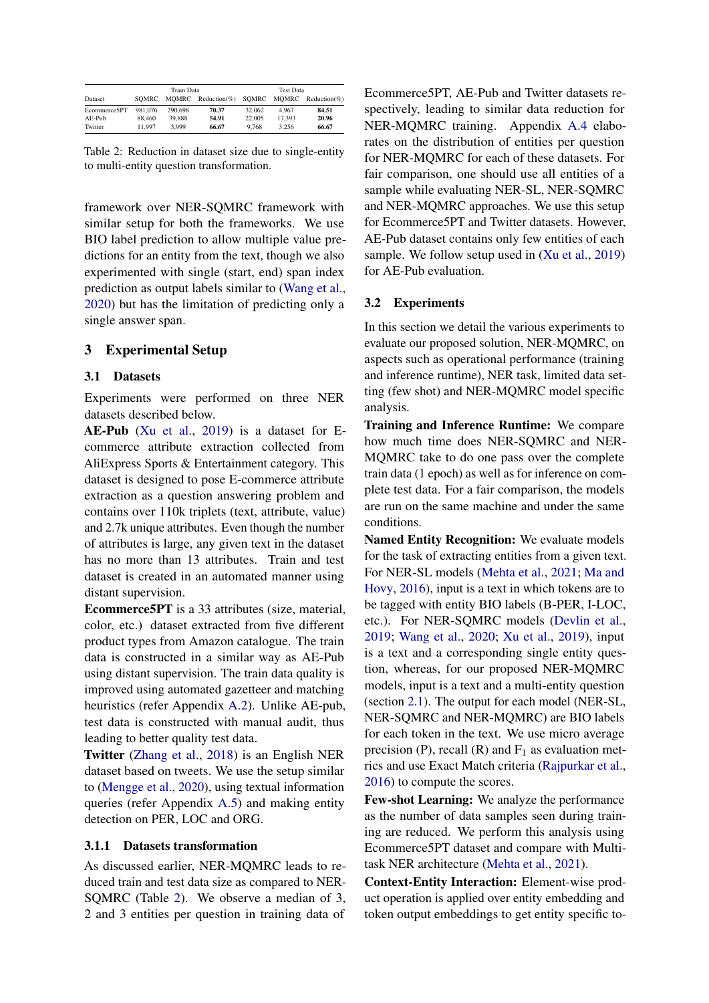<span id="page-3-1"></span>

|              | Train Data |         | <b>Test Data</b>     |        |        |                 |
|--------------|------------|---------|----------------------|--------|--------|-----------------|
| Dataset      | SOMRC      |         | $MOMRC$ Reduction(%) | SOMRC  | MOMRC  | $Reduction(\%)$ |
| Ecommerce5PT | 981,076    | 290,698 | 70.37                | 32.062 | 4.967  | 84.51           |
| AE-Pub       | 88,460     | 39.888  | 54.91                | 22,005 | 17.393 | 20.96           |
| Twitter      | 11.997     | 3.999   | 66.67                | 9.768  | 3.256  | 66.67           |

Table 2: Reduction in dataset size due to single-entity to multi-entity question transformation.

framework over NER-SQMRC framework with similar setup for both the frameworks. We use BIO label prediction to allow multiple value predictions for an entity from the text, though we also experimented with single (start, end) span index prediction as output labels similar to [\(Wang et al.,](#page-6-0) [2020\)](#page-6-0) but has the limitation of predicting only a single answer span.

### <span id="page-3-0"></span>3 Experimental Setup

#### 3.1 Datasets

Experiments were performed on three NER datasets described below.

AE-Pub [\(Xu et al.,](#page-6-7) [2019\)](#page-6-7) is a dataset for Ecommerce attribute extraction collected from AliExpress Sports & Entertainment category. This dataset is designed to pose E-commerce attribute extraction as a question answering problem and contains over 110k triplets (text, attribute, value) and 2.7k unique attributes. Even though the number of attributes is large, any given text in the dataset has no more than 13 attributes. Train and test dataset is created in an automated manner using distant supervision.

Ecommerce5PT is a 33 attributes (size, material, color, etc.) dataset extracted from five different product types from Amazon catalogue. The train data is constructed in a similar way as AE-Pub using distant supervision. The train data quality is improved using automated gazetteer and matching heuristics (refer Appendix [A.2\)](#page-7-1). Unlike AE-pub, test data is constructed with manual audit, thus leading to better quality test data.

Twitter [\(Zhang et al.,](#page-6-9) [2018\)](#page-6-9) is an English NER dataset based on tweets. We use the setup similar to [\(Mengge et al.,](#page-6-1) [2020\)](#page-6-1), using textual information queries (refer Appendix [A.5\)](#page-8-0) and making entity detection on PER, LOC and ORG.

#### 3.1.1 Datasets transformation

As discussed earlier, NER-MQMRC leads to reduced train and test data size as compared to NER-SQMRC (Table [2\)](#page-3-1). We observe a median of 3, 2 and 3 entities per question in training data of Ecommerce5PT, AE-Pub and Twitter datasets respectively, leading to similar data reduction for NER-MQMRC training. Appendix [A.4](#page-8-1) elaborates on the distribution of entities per question for NER-MQMRC for each of these datasets. For fair comparison, one should use all entities of a sample while evaluating NER-SL, NER-SQMRC and NER-MQMRC approaches. We use this setup for Ecommerce5PT and Twitter datasets. However, AE-Pub dataset contains only few entities of each sample. We follow setup used in [\(Xu et al.,](#page-6-7) [2019\)](#page-6-7) for AE-Pub evaluation.

#### 3.2 Experiments

In this section we detail the various experiments to evaluate our proposed solution, NER-MQMRC, on aspects such as operational performance (training and inference runtime), NER task, limited data setting (few shot) and NER-MQMRC model specific analysis.

Training and Inference Runtime: We compare how much time does NER-SQMRC and NER-MQMRC take to do one pass over the complete train data (1 epoch) as well as for inference on complete test data. For a fair comparison, the models are run on the same machine and under the same conditions.

Named Entity Recognition: We evaluate models for the task of extracting entities from a given text. For NER-SL models [\(Mehta et al.,](#page-6-5) [2021;](#page-6-5) [Ma and](#page-6-6) [Hovy,](#page-6-6) [2016\)](#page-6-6), input is a text in which tokens are to be tagged with entity BIO labels (B-PER, I-LOC, etc.). For NER-SQMRC models [\(Devlin et al.,](#page-6-2) [2019;](#page-6-2) [Wang et al.,](#page-6-0) [2020;](#page-6-0) [Xu et al.,](#page-6-7) [2019\)](#page-6-7), input is a text and a corresponding single entity question, whereas, for our proposed NER-MQMRC models, input is a text and a multi-entity question (section [2.1\)](#page-1-3). The output for each model (NER-SL, NER-SQMRC and NER-MQMRC) are BIO labels for each token in the text. We use micro average precision (P), recall (R) and  $F_1$  as evaluation metrics and use Exact Match criteria [\(Rajpurkar et al.,](#page-6-10) [2016\)](#page-6-10) to compute the scores.

Few-shot Learning: We analyze the performance as the number of data samples seen during training are reduced. We perform this analysis using Ecommerce5PT dataset and compare with Multitask NER architecture [\(Mehta et al.,](#page-6-5) [2021\)](#page-6-5).

Context-Entity Interaction: Element-wise product operation is applied over entity embedding and token output embeddings to get entity specific to-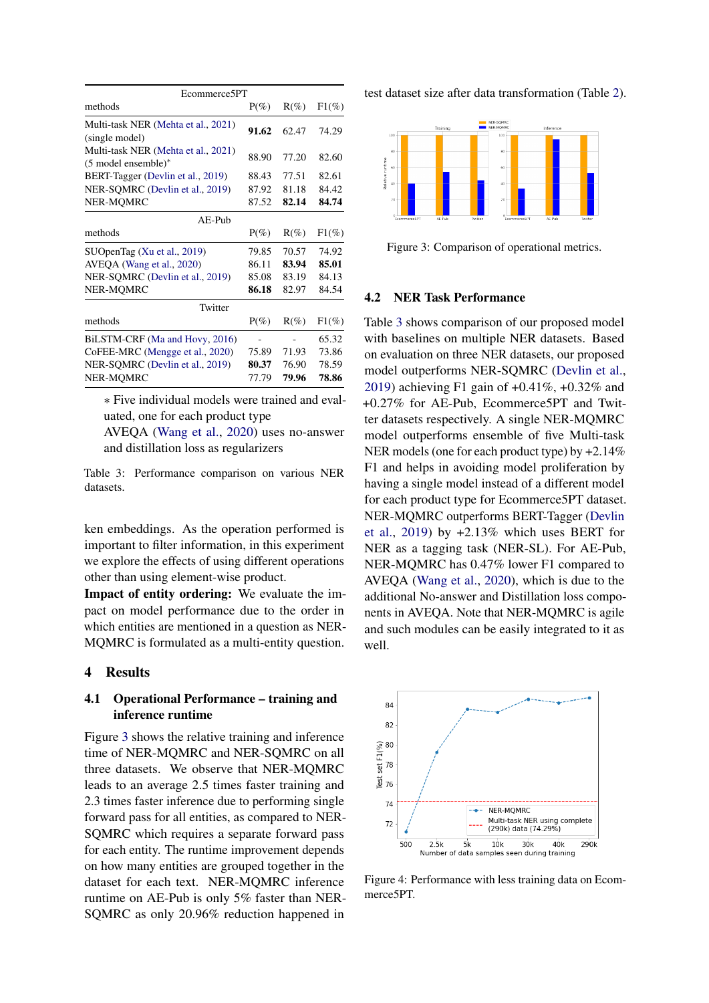<span id="page-4-2"></span>

| $P(\%)$ | $R(\%)$ | $F1(\%)$ |
|---------|---------|----------|
| 91.62   | 62.47   | 74.29    |
| 88.90   | 77.20   | 82.60    |
| 88.43   | 77.51   | 82.61    |
| 87.92   | 81.18   | 84.42    |
| 87.52   | 82.14   | 84.74    |
|         |         |          |
| $P(\%)$ | $R(\%)$ | $F1(\%)$ |
| 79.85   | 70.57   | 74.92    |
| 86.11   | 83.94   | 85.01    |
| 85.08   | 83.19   | 84.13    |
| 86.18   | 82.97   | 84.54    |
|         |         |          |
| $P(\%)$ | $R(\%)$ | $F1(\%)$ |
|         |         | 65.32    |
| 75.89   | 71.93   | 73.86    |
| 80.37   | 76.90   | 78.59    |
| 77.79   | 79.96   | 78.86    |
|         |         |          |

∗ Five individual models were trained and evaluated, one for each product type

AVEQA [\(Wang et al.,](#page-6-0) [2020\)](#page-6-0) uses no-answer and distillation loss as regularizers

Table 3: Performance comparison on various NER datasets.

ken embeddings. As the operation performed is important to filter information, in this experiment we explore the effects of using different operations other than using element-wise product.

Impact of entity ordering: We evaluate the impact on model performance due to the order in which entities are mentioned in a question as NER-MQMRC is formulated as a multi-entity question.

### <span id="page-4-0"></span>4 Results

### 4.1 Operational Performance – training and inference runtime

Figure [3](#page-4-1) shows the relative training and inference time of NER-MQMRC and NER-SQMRC on all three datasets. We observe that NER-MQMRC leads to an average 2.5 times faster training and 2.3 times faster inference due to performing single forward pass for all entities, as compared to NER-SQMRC which requires a separate forward pass for each entity. The runtime improvement depends on how many entities are grouped together in the dataset for each text. NER-MQMRC inference runtime on AE-Pub is only 5% faster than NER-SQMRC as only 20.96% reduction happened in

test dataset size after data transformation (Table [2\)](#page-3-1).

<span id="page-4-1"></span>

Figure 3: Comparison of operational metrics.

#### 4.2 NER Task Performance

Table [3](#page-4-2) shows comparison of our proposed model with baselines on multiple NER datasets. Based on evaluation on three NER datasets, our proposed model outperforms NER-SQMRC [\(Devlin et al.,](#page-6-2) [2019\)](#page-6-2) achieving F1 gain of +0.41%, +0.32% and +0.27% for AE-Pub, Ecommerce5PT and Twitter datasets respectively. A single NER-MQMRC model outperforms ensemble of five Multi-task NER models (one for each product type) by +2.14% F1 and helps in avoiding model proliferation by having a single model instead of a different model for each product type for Ecommerce5PT dataset. NER-MQMRC outperforms BERT-Tagger [\(Devlin](#page-6-2) [et al.,](#page-6-2) [2019\)](#page-6-2) by +2.13% which uses BERT for NER as a tagging task (NER-SL). For AE-Pub, NER-MQMRC has 0.47% lower F1 compared to AVEQA [\(Wang et al.,](#page-6-0) [2020\)](#page-6-0), which is due to the additional No-answer and Distillation loss components in AVEQA. Note that NER-MQMRC is agile and such modules can be easily integrated to it as well.

<span id="page-4-3"></span>

Figure 4: Performance with less training data on Ecommerce5PT.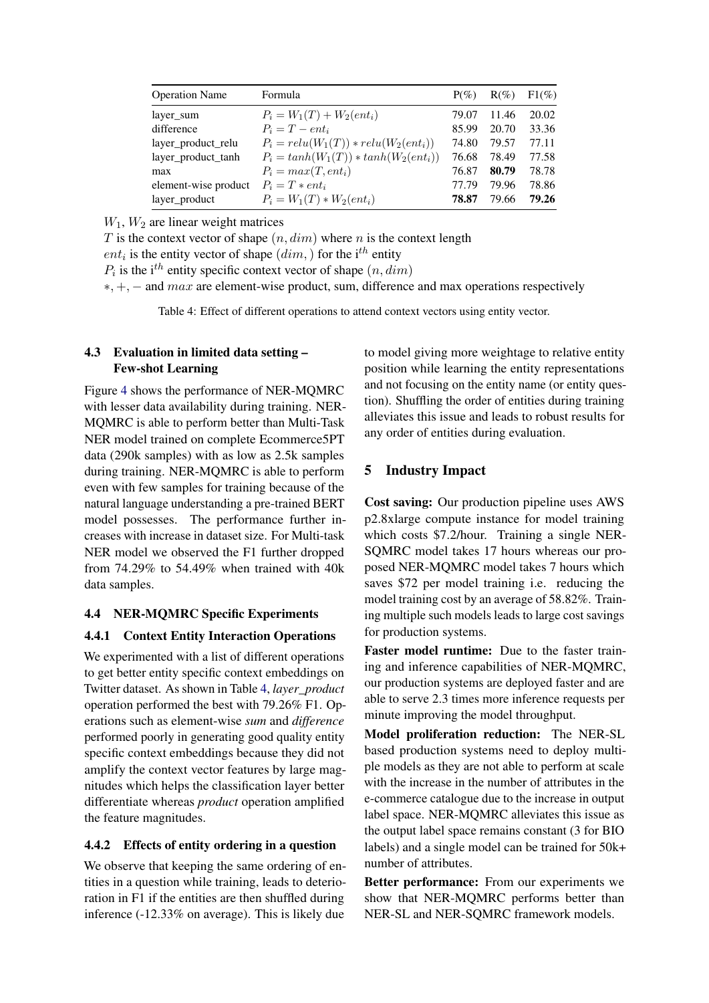<span id="page-5-1"></span>

| <b>Operation Name</b> | Formula                                 | $P(\%)$ | $R(\%)$ | $F1(\%)$ |
|-----------------------|-----------------------------------------|---------|---------|----------|
| layer_sum             | $P_i = W_1(T) + W_2(ent_i)$             | 79.07   | 11.46   | 20.02    |
| difference            | $P_i = T - ent_i$                       | 85.99   | 20.70   | 33.36    |
| layer_product_relu    | $P_i = relu(W_1(T)) * relu(W_2(ent_i))$ | 74.80   | 79.57   | 77.11    |
| layer_product_tanh    | $P_i = tanh(W_1(T)) * tanh(W_2(ent_i))$ | 76.68   | 78.49   | 77.58    |
| max                   | $P_i = max(T, ent_i)$                   | 76.87   | 80.79   | 78.78    |
| element-wise product  | $P_i = T * ent_i$                       | 77.79   | 79.96   | 78.86    |
| layer_product         | $P_i = W_1(T) * W_2(ent_i)$             | 78.87   | 79.66   | 79.26    |

 $W_1$ ,  $W_2$  are linear weight matrices

T is the context vector of shape  $(n, dim)$  where n is the context length

*ent<sub>i</sub>* is the entity vector of shape  $(dim,$  for the i<sup>th</sup> entity

 $P_i$  is the i<sup>th</sup> entity specific context vector of shape  $(n, dim)$ 

∗, +, − and max are element-wise product, sum, difference and max operations respectively

Table 4: Effect of different operations to attend context vectors using entity vector.

## 4.3 Evaluation in limited data setting – Few-shot Learning

Figure [4](#page-4-3) shows the performance of NER-MQMRC with lesser data availability during training. NER-MQMRC is able to perform better than Multi-Task NER model trained on complete Ecommerce5PT data (290k samples) with as low as 2.5k samples during training. NER-MQMRC is able to perform even with few samples for training because of the natural language understanding a pre-trained BERT model possesses. The performance further increases with increase in dataset size. For Multi-task NER model we observed the F1 further dropped from 74.29% to 54.49% when trained with 40k data samples.

### 4.4 NER-MQMRC Specific Experiments

### 4.4.1 Context Entity Interaction Operations

We experimented with a list of different operations to get better entity specific context embeddings on Twitter dataset. As shown in Table [4,](#page-5-1) *layer\_product* operation performed the best with 79.26% F1. Operations such as element-wise *sum* and *difference* performed poorly in generating good quality entity specific context embeddings because they did not amplify the context vector features by large magnitudes which helps the classification layer better differentiate whereas *product* operation amplified the feature magnitudes.

### 4.4.2 Effects of entity ordering in a question

We observe that keeping the same ordering of entities in a question while training, leads to deterioration in F1 if the entities are then shuffled during inference (-12.33% on average). This is likely due

to model giving more weightage to relative entity position while learning the entity representations and not focusing on the entity name (or entity question). Shuffling the order of entities during training alleviates this issue and leads to robust results for any order of entities during evaluation.

# <span id="page-5-0"></span>5 Industry Impact

Cost saving: Our production pipeline uses AWS p2.8xlarge compute instance for model training which costs \$7.2/hour. Training a single NER-SQMRC model takes 17 hours whereas our proposed NER-MQMRC model takes 7 hours which saves \$72 per model training i.e. reducing the model training cost by an average of 58.82%. Training multiple such models leads to large cost savings for production systems.

Faster model runtime: Due to the faster training and inference capabilities of NER-MQMRC, our production systems are deployed faster and are able to serve 2.3 times more inference requests per minute improving the model throughput.

Model proliferation reduction: The NER-SL based production systems need to deploy multiple models as they are not able to perform at scale with the increase in the number of attributes in the e-commerce catalogue due to the increase in output label space. NER-MQMRC alleviates this issue as the output label space remains constant (3 for BIO labels) and a single model can be trained for 50k+ number of attributes.

Better performance: From our experiments we show that NER-MQMRC performs better than NER-SL and NER-SQMRC framework models.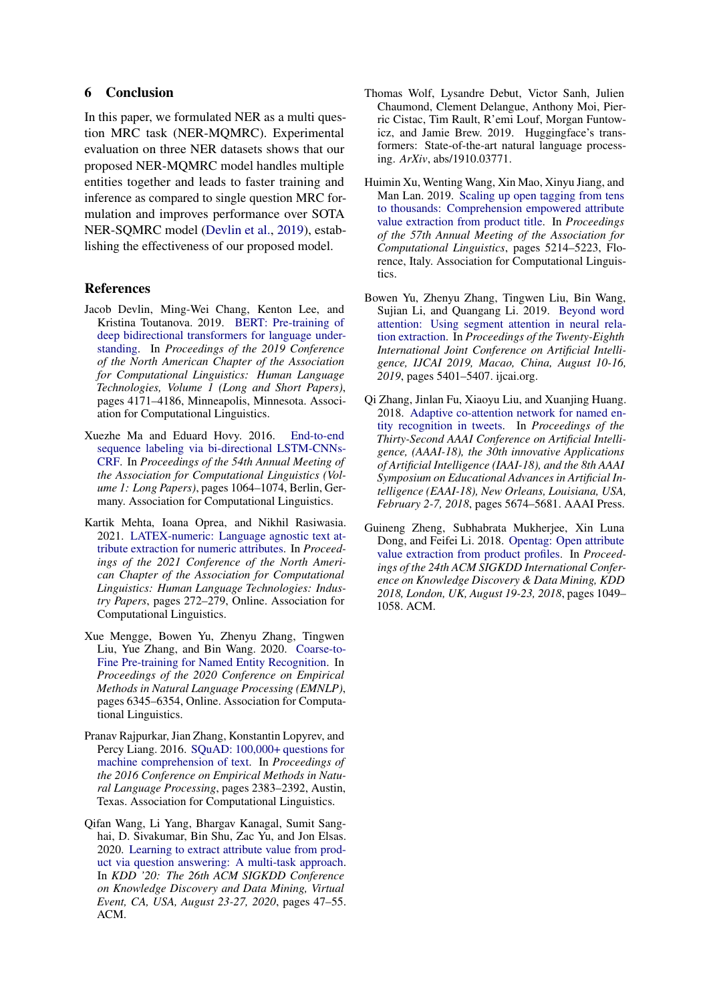### <span id="page-6-8"></span>6 Conclusion

In this paper, we formulated NER as a multi question MRC task (NER-MQMRC). Experimental evaluation on three NER datasets shows that our proposed NER-MQMRC model handles multiple entities together and leads to faster training and inference as compared to single question MRC formulation and improves performance over SOTA NER-SQMRC model [\(Devlin et al.,](#page-6-2) [2019\)](#page-6-2), establishing the effectiveness of our proposed model.

### References

- <span id="page-6-2"></span>Jacob Devlin, Ming-Wei Chang, Kenton Lee, and Kristina Toutanova. 2019. [BERT: Pre-training of](https://doi.org/10.18653/v1/N19-1423) [deep bidirectional transformers for language under](https://doi.org/10.18653/v1/N19-1423)[standing.](https://doi.org/10.18653/v1/N19-1423) In *Proceedings of the 2019 Conference of the North American Chapter of the Association for Computational Linguistics: Human Language Technologies, Volume 1 (Long and Short Papers)*, pages 4171–4186, Minneapolis, Minnesota. Association for Computational Linguistics.
- <span id="page-6-6"></span>Xuezhe Ma and Eduard Hovy. 2016. [End-to-end](https://doi.org/10.18653/v1/P16-1101) [sequence labeling via bi-directional LSTM-CNNs-](https://doi.org/10.18653/v1/P16-1101)[CRF.](https://doi.org/10.18653/v1/P16-1101) In *Proceedings of the 54th Annual Meeting of the Association for Computational Linguistics (Volume 1: Long Papers)*, pages 1064–1074, Berlin, Germany. Association for Computational Linguistics.
- <span id="page-6-5"></span>Kartik Mehta, Ioana Oprea, and Nikhil Rasiwasia. 2021. [LATEX-numeric: Language agnostic text at](https://doi.org/10.18653/v1/2021.naacl-industry.34)[tribute extraction for numeric attributes.](https://doi.org/10.18653/v1/2021.naacl-industry.34) In *Proceedings of the 2021 Conference of the North American Chapter of the Association for Computational Linguistics: Human Language Technologies: Industry Papers*, pages 272–279, Online. Association for Computational Linguistics.
- <span id="page-6-1"></span>Xue Mengge, Bowen Yu, Zhenyu Zhang, Tingwen Liu, Yue Zhang, and Bin Wang. 2020. [Coarse-to-](https://doi.org/10.18653/v1/2020.emnlp-main.514)[Fine Pre-training for Named Entity Recognition.](https://doi.org/10.18653/v1/2020.emnlp-main.514) In *Proceedings of the 2020 Conference on Empirical Methods in Natural Language Processing (EMNLP)*, pages 6345–6354, Online. Association for Computational Linguistics.
- <span id="page-6-10"></span>Pranav Rajpurkar, Jian Zhang, Konstantin Lopyrev, and Percy Liang. 2016. [SQuAD: 100,000+ questions for](https://doi.org/10.18653/v1/D16-1264) [machine comprehension of text.](https://doi.org/10.18653/v1/D16-1264) In *Proceedings of the 2016 Conference on Empirical Methods in Natural Language Processing*, pages 2383–2392, Austin, Texas. Association for Computational Linguistics.
- <span id="page-6-0"></span>Qifan Wang, Li Yang, Bhargav Kanagal, Sumit Sanghai, D. Sivakumar, Bin Shu, Zac Yu, and Jon Elsas. 2020. [Learning to extract attribute value from prod](https://dl.acm.org/doi/10.1145/3394486.3403047)[uct via question answering: A multi-task approach.](https://dl.acm.org/doi/10.1145/3394486.3403047) In *KDD '20: The 26th ACM SIGKDD Conference on Knowledge Discovery and Data Mining, Virtual Event, CA, USA, August 23-27, 2020*, pages 47–55. ACM.
- <span id="page-6-11"></span>Thomas Wolf, Lysandre Debut, Victor Sanh, Julien Chaumond, Clement Delangue, Anthony Moi, Pierric Cistac, Tim Rault, R'emi Louf, Morgan Funtowicz, and Jamie Brew. 2019. Huggingface's transformers: State-of-the-art natural language processing. *ArXiv*, abs/1910.03771.
- <span id="page-6-7"></span>Huimin Xu, Wenting Wang, Xin Mao, Xinyu Jiang, and Man Lan. 2019. [Scaling up open tagging from tens](https://doi.org/10.18653/v1/P19-1514) [to thousands: Comprehension empowered attribute](https://doi.org/10.18653/v1/P19-1514) [value extraction from product title.](https://doi.org/10.18653/v1/P19-1514) In *Proceedings of the 57th Annual Meeting of the Association for Computational Linguistics*, pages 5214–5223, Florence, Italy. Association for Computational Linguistics.
- <span id="page-6-3"></span>Bowen Yu, Zhenyu Zhang, Tingwen Liu, Bin Wang, Sujian Li, and Quangang Li. 2019. [Beyond word](https://doi.org/10.24963/ijcai.2019/750) [attention: Using segment attention in neural rela](https://doi.org/10.24963/ijcai.2019/750)[tion extraction.](https://doi.org/10.24963/ijcai.2019/750) In *Proceedings of the Twenty-Eighth International Joint Conference on Artificial Intelligence, IJCAI 2019, Macao, China, August 10-16, 2019*, pages 5401–5407. ijcai.org.
- <span id="page-6-9"></span>Qi Zhang, Jinlan Fu, Xiaoyu Liu, and Xuanjing Huang. 2018. [Adaptive co-attention network for named en](https://www.aaai.org/ocs/index.php/AAAI/AAAI18/paper/view/16432)[tity recognition in tweets.](https://www.aaai.org/ocs/index.php/AAAI/AAAI18/paper/view/16432) In *Proceedings of the Thirty-Second AAAI Conference on Artificial Intelligence, (AAAI-18), the 30th innovative Applications of Artificial Intelligence (IAAI-18), and the 8th AAAI Symposium on Educational Advances in Artificial Intelligence (EAAI-18), New Orleans, Louisiana, USA, February 2-7, 2018*, pages 5674–5681. AAAI Press.
- <span id="page-6-4"></span>Guineng Zheng, Subhabrata Mukherjee, Xin Luna Dong, and Feifei Li. 2018. [Opentag: Open attribute](https://doi.org/10.1145/3219819.3219839) [value extraction from product profiles.](https://doi.org/10.1145/3219819.3219839) In *Proceedings of the 24th ACM SIGKDD International Conference on Knowledge Discovery & Data Mining, KDD 2018, London, UK, August 19-23, 2018*, pages 1049– 1058. ACM.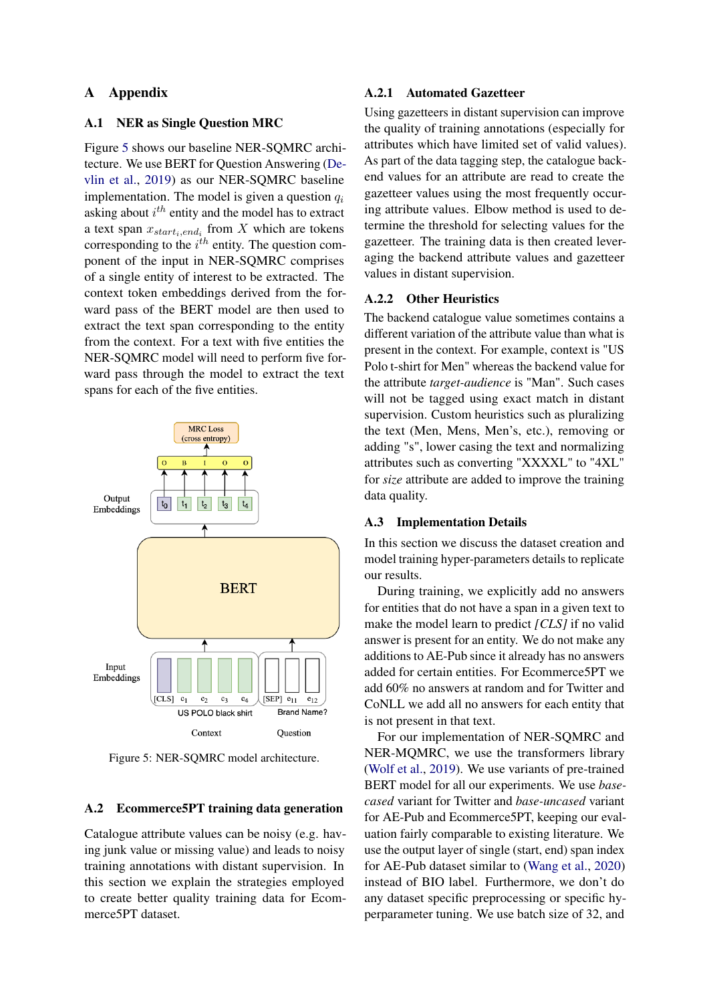### A Appendix

### <span id="page-7-0"></span>A.1 NER as Single Question MRC

Figure [5](#page-7-2) shows our baseline NER-SQMRC architecture. We use BERT for Question Answering [\(De](#page-6-2)[vlin et al.,](#page-6-2) [2019\)](#page-6-2) as our NER-SQMRC baseline implementation. The model is given a question  $q_i$ asking about  $i^{th}$  entity and the model has to extract a text span  $x_{start_i, end_i}$  from X which are tokens corresponding to the  $i^{th}$  entity. The question component of the input in NER-SQMRC comprises of a single entity of interest to be extracted. The context token embeddings derived from the forward pass of the BERT model are then used to extract the text span corresponding to the entity from the context. For a text with five entities the NER-SQMRC model will need to perform five forward pass through the model to extract the text spans for each of the five entities.

<span id="page-7-2"></span>

Figure 5: NER-SQMRC model architecture.

#### <span id="page-7-1"></span>A.2 Ecommerce5PT training data generation

Catalogue attribute values can be noisy (e.g. having junk value or missing value) and leads to noisy training annotations with distant supervision. In this section we explain the strategies employed to create better quality training data for Ecommerce5PT dataset.

#### A.2.1 Automated Gazetteer

Using gazetteers in distant supervision can improve the quality of training annotations (especially for attributes which have limited set of valid values). As part of the data tagging step, the catalogue backend values for an attribute are read to create the gazetteer values using the most frequently occuring attribute values. Elbow method is used to determine the threshold for selecting values for the gazetteer. The training data is then created leveraging the backend attribute values and gazetteer values in distant supervision.

#### A.2.2 Other Heuristics

The backend catalogue value sometimes contains a different variation of the attribute value than what is present in the context. For example, context is "US Polo t-shirt for Men" whereas the backend value for the attribute *target-audience* is "Man". Such cases will not be tagged using exact match in distant supervision. Custom heuristics such as pluralizing the text (Men, Mens, Men's, etc.), removing or adding "s", lower casing the text and normalizing attributes such as converting "XXXXL" to "4XL" for *size* attribute are added to improve the training data quality.

#### A.3 Implementation Details

In this section we discuss the dataset creation and model training hyper-parameters details to replicate our results.

During training, we explicitly add no answers for entities that do not have a span in a given text to make the model learn to predict *[CLS]* if no valid answer is present for an entity. We do not make any additions to AE-Pub since it already has no answers added for certain entities. For Ecommerce5PT we add 60% no answers at random and for Twitter and CoNLL we add all no answers for each entity that is not present in that text.

For our implementation of NER-SQMRC and NER-MQMRC, we use the transformers library [\(Wolf et al.,](#page-6-11) [2019\)](#page-6-11). We use variants of pre-trained BERT model for all our experiments. We use *basecased* variant for Twitter and *base-uncased* variant for AE-Pub and Ecommerce5PT, keeping our evaluation fairly comparable to existing literature. We use the output layer of single (start, end) span index for AE-Pub dataset similar to [\(Wang et al.,](#page-6-0) [2020\)](#page-6-0) instead of BIO label. Furthermore, we don't do any dataset specific preprocessing or specific hyperparameter tuning. We use batch size of 32, and